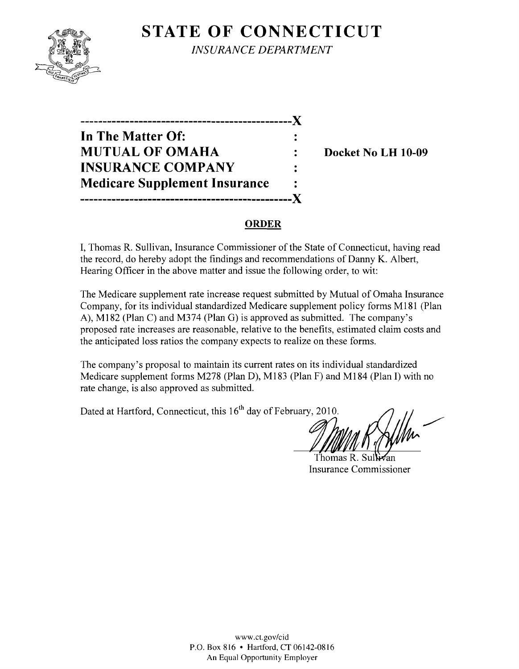## **STATE OF CONNECTICUT**



*INSURANCE DEPARTMENT* 

**-----------------------------------------------)( In The Matter Of: MUTUAL OF OMAHA : Docket No LH 10-09 INSURANCE COMPANY Medicare Supplement Insurance -----------------------------------------------)(** 

#### **ORDER**

**I,** Thomas R. Sullivan, Insurance Commissioner of the State of Connecticut, having read the record, do hereby adopt the findings and recommendations of Danny K. Albert, Hearing Officer in the above matter and issue the following order, to wit:

The Medicare supplement rate increase request submitted by Mutual of Omaha Insurance Company, for its individual standardized Medicare supplement policy forms M181 (Plan A), M182 (Plan C) and M374 (Plan G) is approved as submitted. The company's proposed rate increases are reasonable, relative to the benefits, estimated claim costs and the anticipated loss ratios the company expects to realize on these forms.

The company's proposal to maintain its current rates on its individual standardized Medicare supplement forms M278 (Plan D), M183 (Plan F) and M184 (Plan I) with no rate change, is also approved as submitted.

Dated at Hartford, Connecticut, this 16<sup>th</sup> day of February, 2010.

Thomas  $\rm R~$  Sul Insurance Commissioner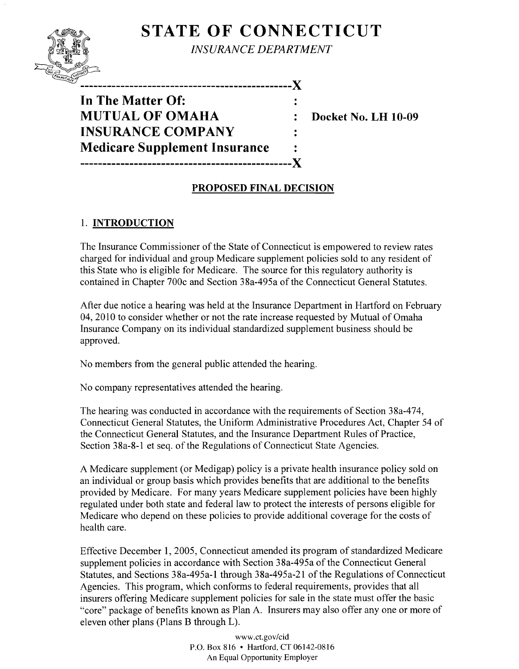# **STATE OF CONNECTICUT**



*INSURANCE DEPARTMENT* 

----------------------X **In The Matter Of: MUTUAL OF OMAHA : Docket No. LH 10-09 INSURANCE COMPANY Medicare Supplement Insurance -----------------------------------------------X** 

## **PROPOSED FINAL DECISION**

 $\ddot{\cdot}$ 

## 1. **INTRODUCTION**

The Insurance Commissioner of the State of Connecticut is empowered to review rates charged for individual and group Medicare supplement policies sold to any resident of this State who is eligible for Medicare. The source for this regulatory authority is contained in Chapter 700c and Section 38a-495a of the Connecticut General Statutes.

After due notice a hearing was held at the Insurance Department in Hartford on February 04, 2010 to consider whether or not the rate increase requested by Mutual of Omaha Insurance Company on its individual standardized supplement business should be approved.

No members from the general public attended the hearing.

No company representatives attended the hearing.

The hearing was conducted in accordance with the requirements of Section 38a-474, Connecticut General Statutes, the Uniform Administrative Procedures Act, Chapter 54 of the Connecticut General Statutes, and the Insurance Department Rules of Practice, Section 38a-8-1 et seq. of the Regulations of Connecticut State Agencies.

A Medicare supplement (or Medigap) policy is a private health insurance policy sold on an individual or group basis which provides benefits that are additional to the benefits provided by Medicare. For many years Medicare supplement policies have been highly regulated under both state and federal law to protect the interests of persons eligible for Medicare who depend on these policies to provide additional coverage for the costs of health care.

Effective December 1, 2005, Connecticut amended its program of standardized Medicare supplement policies in accordance with Section 38a-495a of the Connecticut General Statutes, and Sections 38a-495a-1 through 38a-495a-21 of the Regulations of Connecticut Agencies. This program, which conforms to federal requirements, provides that all insurers offering Medicare supplement policies for sale in the state must offer the basic "core" package of benefits known as Plan A. Insurers may also offer anyone or more of eleven other plans (Plans B through L).

> www.ct.gov/cid P.O. Box 816 • Hartford, CT 06142-0816 An Equal Opportunity Employer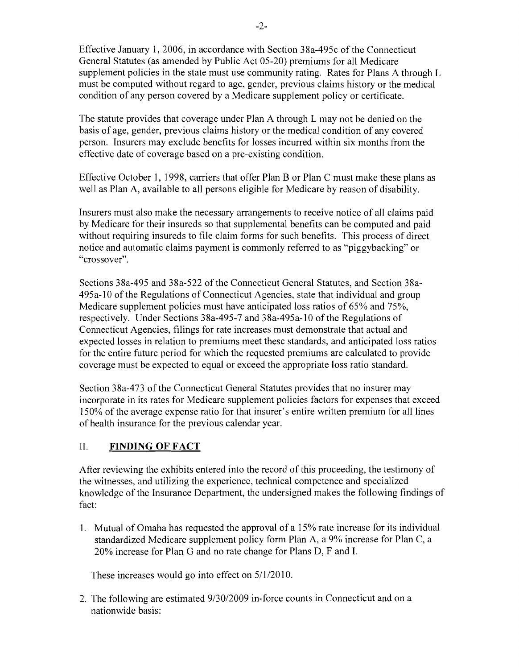Effective January 1,2006, in accordance with Section 38a-495c ofthe Connecticut General Statutes (as amended by Public Act 05-20) premiums for all Medicare supplement policies in the state must use community rating. Rates for Plans A through L must be computed without regard to age, gender, previous claims history or the medical condition of any person covered by a Medicare supplement policy or certificate.

The statute provides that coverage under Plan A through L may not be denied on the basis of age, gender, previous claims history or the medical condition of any covered person. Insurers may exclude benefits for losses incurred within six months from the effective date of coverage based on a pre-existing condition.

Effective October 1, 1998, carriers that offer Plan B or Plan C must make these plans as well as Plan A, available to all persons eligible for Medicare by reason of disability.

Insurers must also make the necessary arrangements to receive notice of all claims paid by Medicare for their insureds so that supplemental benefits can be computed and paid without requiring insureds to file claim forms for such benefits. This process of direct notice and automatic claims payment is commonly referred to as "piggybacking" or "crossover".

Sections 38a-495 and 38a-522 of the Connecticut General Statutes, and Section 38a-495a-10 of the Regulations of Connecticut Agencies, state that individual and group Medicare supplement policies must have anticipated loss ratios of 65% and 75%, respectively. Under Sections 38a-495-7 and 38a-495a-10 of the Regulations of Connecticut Agencies, filings for rate increases must demonstrate that actual and expected losses in relation to premiums meet these standards, and anticipated loss ratios for the entire future period for which the requested premiums are calculated to provide coverage must be expected to equal or exceed the appropriate loss ratio standard.

Section 38a-473 of the Connecticut General Statutes provides that no insurer may incorporate in its rates for Medicare supplement policies factors for expenses that exceed 150% of the average expense ratio for that insurer's entire written premium for all lines of health insurance for the previous calendar year.

### II. **FINDING OF FACT**

After reviewing the exhibits entered into the record of this proceeding, the testimony of the witnesses, and utilizing the experience, technical competence and specialized knowledge of the Insurance Department, the undersigned makes the following findings of fact:

1. Mutual of Omaha has requested the approval of a 15% rate increase for its individual standardized Medicare supplement policy form Plan A, a 9% increase for Plan C, a 20% increase for Plan G and no rate change for Plans D, F and I.

These increases would go into effect on  $5/1/2010$ .

2. The following are estimated  $9/30/2009$  in-force counts in Connecticut and on a nationwide basis: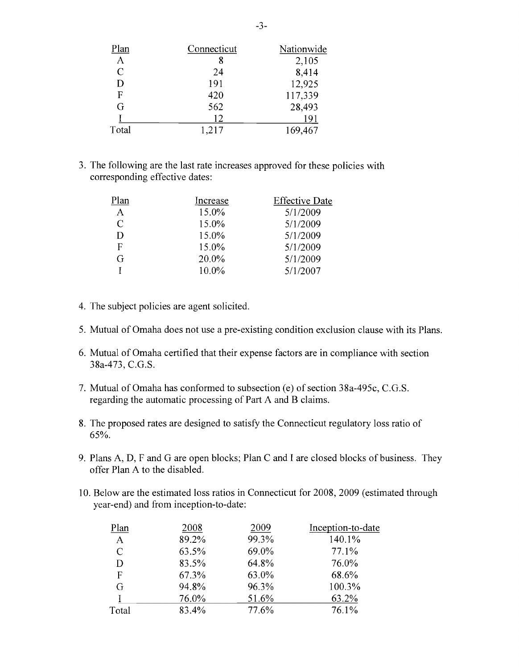| Plan          | Connecticut | Nationwide |
|---------------|-------------|------------|
| $\mathbf{A}$  | 8           | 2,105      |
| $\mathcal{C}$ | 24          | 8,414      |
| D             | 191         | 12,925     |
| F             | 420         | 117,339    |
| G             | 562         | 28,493     |
|               | 12          | 191        |
| Total         | 1,217       | 169,467    |

3. The following are the last rate increases approved for these policies with corresponding effective dates:

| Plan          | Increase | <b>Effective Date</b> |
|---------------|----------|-----------------------|
| $\mathbf{A}$  | 15.0%    | 5/1/2009              |
| $\mathcal{C}$ | 15.0%    | 5/1/2009              |
| D             | 15.0%    | 5/1/2009              |
| F             | 15.0%    | 5/1/2009              |
| G             | 20.0%    | 5/1/2009              |
|               | 10.0%    | 5/1/2007              |

- 4. The subject policies are agent solicited.
- 5. Mutual of Omaha does not use a pre-existing condition exclusion clause with its Plans.
- 6. Mutual of Omaha certified that their expense factors are in compliance with section 38a-473, C.G.S.
- 7. Mutual of Omaha has conformed to subsection (e) of section 38a-495c, C.G.S. regarding the automatic processing of Part A and B claims.
- 8. The proposed rates are designed to satisfy the Connecticut regulatory loss ratio of 65%.
- 9. Plans A, D, F and G are open blocks; Plan C and I are closed blocks of business. They offer Plan A to the disabled.
- 10. Below are the estimated loss ratios in Connecticut for 2008,2009 (estimated through year-end) and from inception-to-date:

| Plan          | 2008  | 2009  | Inception-to-date |
|---------------|-------|-------|-------------------|
| $\mathbf{A}$  | 89.2% | 99.3% | 140.1%            |
| $\mathcal{C}$ | 63.5% | 69.0% | 77.1%             |
| D             | 83.5% | 64.8% | 76.0%             |
| F             | 67.3% | 63.0% | 68.6%             |
| G             | 94.8% | 96.3% | 100.3%            |
|               | 76.0% | 51.6% | 63.2%             |
| Total         | 83.4% | 77.6% | 76.1%             |